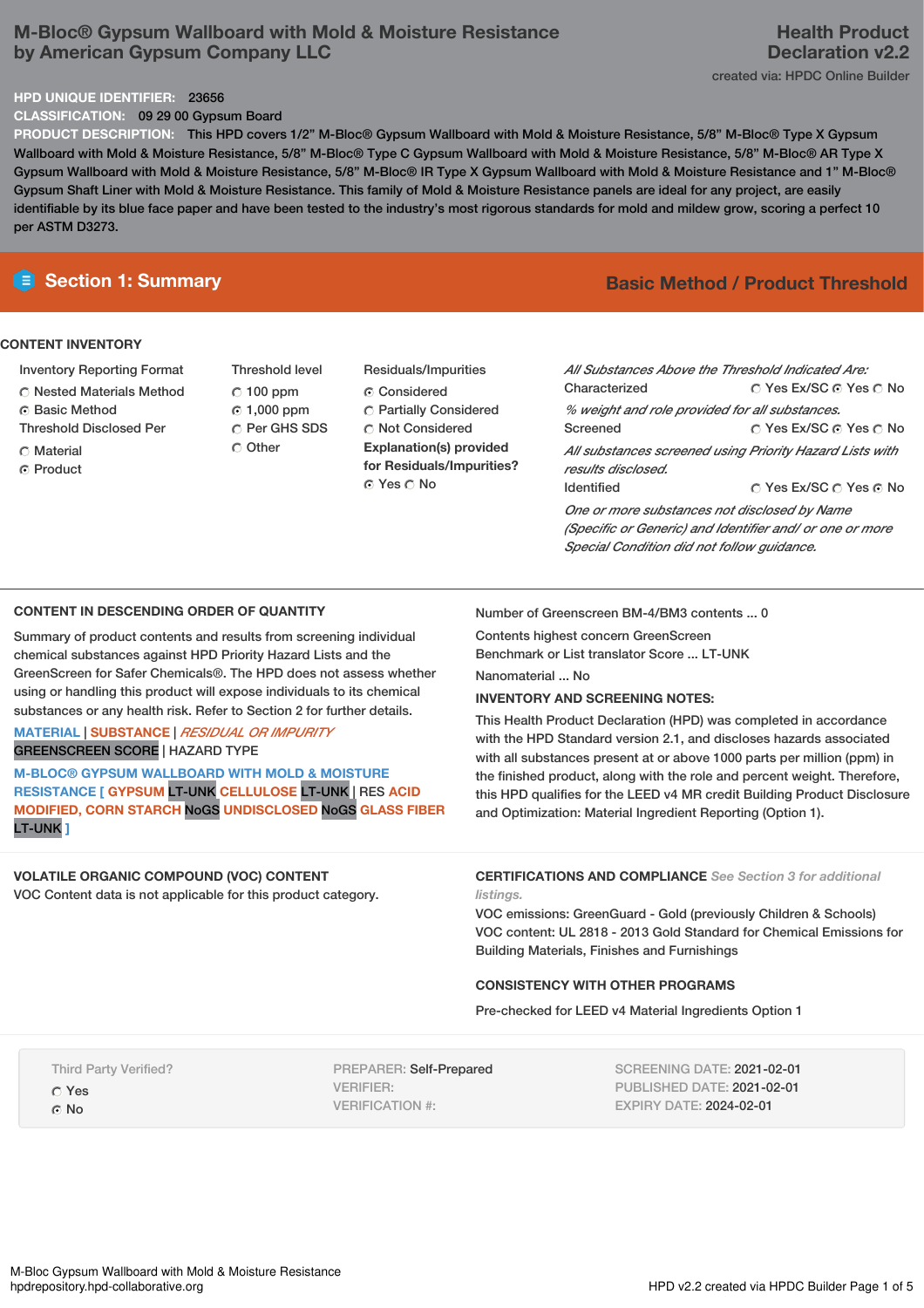# **M-Bloc® Gypsum Wallboard with Mold & Moisture Resistance by American Gypsum Company LLC**

## **HPD UNIQUE IDENTIFIER:** 23656

**CLASSIFICATION:** 09 29 00 Gypsum Board

**PRODUCT DESCRIPTION:** This HPD covers 1/2" M-Bloc® Gypsum Wallboard with Mold & Moisture Resistance, 5/8" M-Bloc® Type X Gypsum Wallboard with Mold & Moisture Resistance, 5/8" M-Bloc® Type C Gypsum Wallboard with Mold & Moisture Resistance, 5/8" M-Bloc® AR Type X Gypsum Wallboard with Mold & Moisture Resistance, 5/8" M-Bloc® IR Type X Gypsum Wallboard with Mold & Moisture Resistance and 1" M-Bloc® Gypsum Shaft Liner with Mold & Moisture Resistance. This family of Mold & Moisture Resistance panels are ideal for any project, are easily identifiable by its blue face paper and have been tested to the industry's most rigorous standards for mold and mildew grow, scoring a perfect 10 per ASTM D3273.

## **CONTENT INVENTORY**

- Inventory Reporting Format
- Nested Materials Method
- **6** Basic Method
- Threshold Disclosed Per
- $\cap$  Material
- C Product
- Threshold level  $C$  100 ppm 1,000 ppm C Per GHS SDS Other
- Residuals/Impurities Considered Partially Considered  $\bigcirc$  Not Considered **Explanation(s) provided for Residuals/Impurities?** ⊙ Yes O No

# **E** Section 1: Summary **Basic Method / Product Threshold**

| All Substances Above the Threshold Indicated Are:<br>Characterized | ∩ Yes Ex/SC ∩ Yes ∩ No |  |  |  |
|--------------------------------------------------------------------|------------------------|--|--|--|
| % weight and role provided for all substances.                     |                        |  |  |  |
| Screened                                                           | ∩ Yes Ex/SC ∩ Yes ∩ No |  |  |  |
| All substances screened using Priority Hazard Lists with           |                        |  |  |  |
| results disclosed.                                                 |                        |  |  |  |
| <b>Identified</b>                                                  | ∩ Yes Ex/SC ∩ Yes ∩ No |  |  |  |
| One or more substances not disclosed by Name                       |                        |  |  |  |
| (Specific or Generic) and Identifier and/ or one or more           |                        |  |  |  |
| Special Condition did not follow quidance.                         |                        |  |  |  |

## **CONTENT IN DESCENDING ORDER OF QUANTITY**

Summary of product contents and results from screening individual chemical substances against HPD Priority Hazard Lists and the GreenScreen for Safer Chemicals®. The HPD does not assess whether using or handling this product will expose individuals to its chemical substances or any health risk. Refer to Section 2 for further details.

## **MATERIAL** | **SUBSTANCE** | *RESIDUAL OR IMPURITY* GREENSCREEN SCORE | HAZARD TYPE

**M-BLOC® GYPSUM WALLBOARD WITH MOLD & MOISTURE RESISTANCE [ GYPSUM** LT-UNK **CELLULOSE** LT-UNK | RES **ACID MODIFIED, CORN STARCH** NoGS **UNDISCLOSED** NoGS **GLASS FIBER** LT-UNK **]**

## **VOLATILE ORGANIC COMPOUND (VOC) CONTENT** VOC Content data is not applicable for this product category.

Number of Greenscreen BM-4/BM3 contents ... 0

Contents highest concern GreenScreen

Benchmark or List translator Score ... LT-UNK

Nanomaterial ... No

## **INVENTORY AND SCREENING NOTES:**

This Health Product Declaration (HPD) was completed in accordance with the HPD Standard version 2.1, and discloses hazards associated with all substances present at or above 1000 parts per million (ppm) in the finished product, along with the role and percent weight. Therefore, this HPD qualifies for the LEED v4 MR credit Building Product Disclosure and Optimization: Material Ingredient Reporting (Option 1).

## **CERTIFICATIONS AND COMPLIANCE** *See Section 3 for additional listings.*

VOC emissions: GreenGuard - Gold (previously Children & Schools) VOC content: UL 2818 - 2013 Gold Standard for Chemical Emissions for Building Materials, Finishes and Furnishings

## **CONSISTENCY WITH OTHER PROGRAMS**

Pre-checked for LEED v4 Material Ingredients Option 1

Third Party Verified? Yes G<sub>No</sub>

PREPARER: Self-Prepared VERIFIER: VERIFICATION #:

SCREENING DATE: 2021-02-01 PUBLISHED DATE: 2021-02-01 EXPIRY DATE: 2024-02-01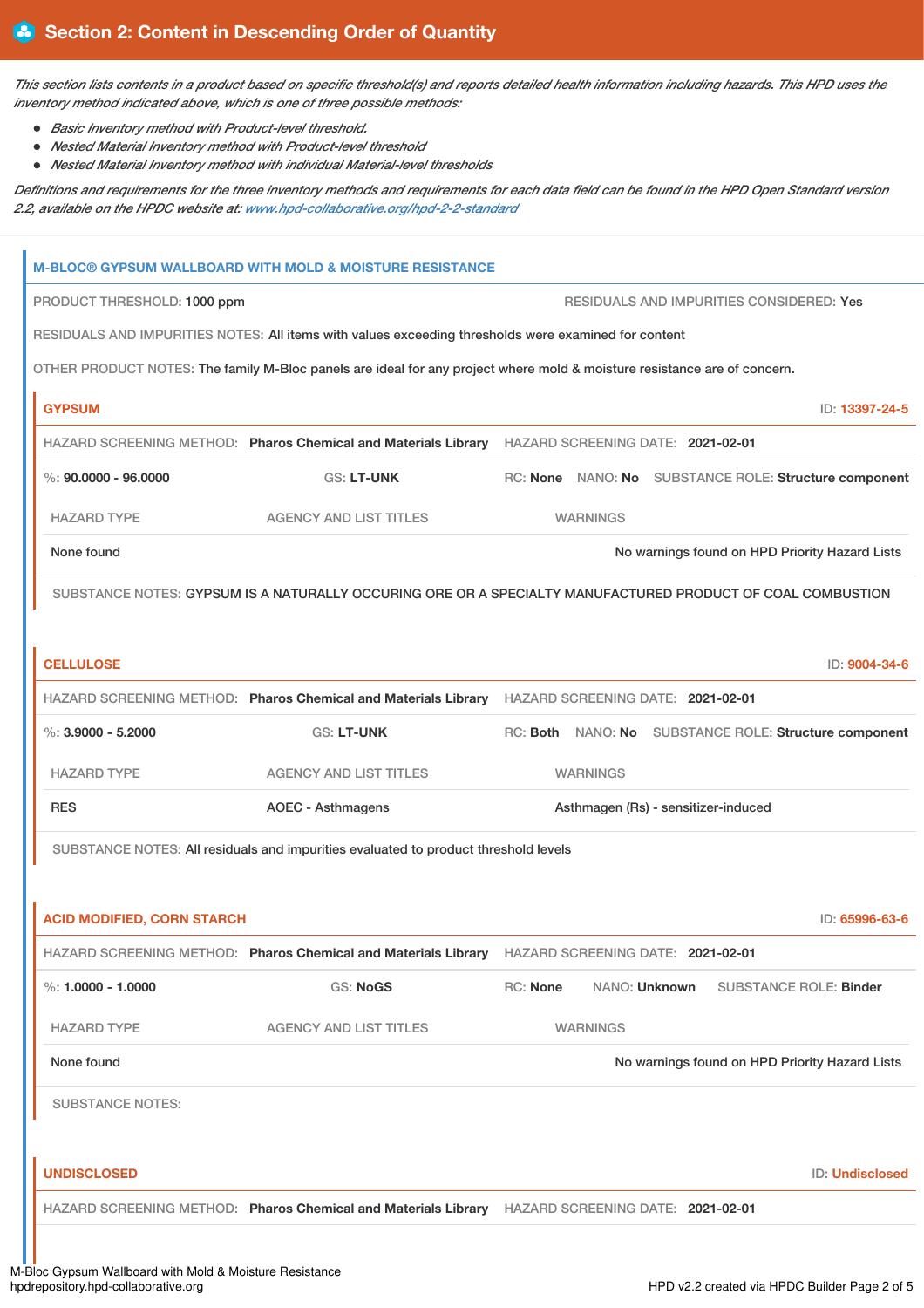This section lists contents in a product based on specific threshold(s) and reports detailed health information including hazards. This HPD uses the *inventory method indicated above, which is one of three possible methods:*

- *Basic Inventory method with Product-level threshold.*
- *Nested Material Inventory method with Product-level threshold*
- *Nested Material Inventory method with individual Material-level thresholds*

Definitions and requirements for the three inventory methods and requirements for each data field can be found in the HPD Open Standard version *2.2, available on the HPDC website at: [www.hpd-collaborative.org/hpd-2-2-standard](https://www.hpd-collaborative.org/hpd-2-2-standard)*

|                                   | <b>M-BLOC® GYPSUM WALLBOARD WITH MOLD &amp; MOISTURE RESISTANCE</b>                                                      |                                     |                 |  |  |                                                       |
|-----------------------------------|--------------------------------------------------------------------------------------------------------------------------|-------------------------------------|-----------------|--|--|-------------------------------------------------------|
|                                   | RESIDUALS AND IMPURITIES CONSIDERED: Yes<br>PRODUCT THRESHOLD: 1000 ppm                                                  |                                     |                 |  |  |                                                       |
|                                   | RESIDUALS AND IMPURITIES NOTES: All items with values exceeding thresholds were examined for content                     |                                     |                 |  |  |                                                       |
|                                   | OTHER PRODUCT NOTES: The family M-Bloc panels are ideal for any project where mold & moisture resistance are of concern. |                                     |                 |  |  |                                                       |
| <b>GYPSUM</b>                     |                                                                                                                          |                                     |                 |  |  | ID: 13397-24-5                                        |
|                                   | HAZARD SCREENING METHOD: Pharos Chemical and Materials Library HAZARD SCREENING DATE: 2021-02-01                         |                                     |                 |  |  |                                                       |
| %: $90,0000 - 96,0000$            | <b>GS: LT-UNK</b>                                                                                                        |                                     |                 |  |  | RC: None NANO: No SUBSTANCE ROLE: Structure component |
| <b>HAZARD TYPE</b>                | <b>AGENCY AND LIST TITLES</b>                                                                                            |                                     | <b>WARNINGS</b> |  |  |                                                       |
| None found                        |                                                                                                                          |                                     |                 |  |  | No warnings found on HPD Priority Hazard Lists        |
|                                   | SUBSTANCE NOTES: GYPSUM IS A NATURALLY OCCURING ORE OR A SPECIALTY MANUFACTURED PRODUCT OF COAL COMBUSTION               |                                     |                 |  |  |                                                       |
|                                   |                                                                                                                          |                                     |                 |  |  |                                                       |
| <b>CELLULOSE</b>                  |                                                                                                                          |                                     |                 |  |  | ID: 9004-34-6                                         |
|                                   | HAZARD SCREENING METHOD: Pharos Chemical and Materials Library HAZARD SCREENING DATE: 2021-02-01                         |                                     |                 |  |  |                                                       |
| $\%$ : 3.9000 - 5.2000            | <b>GS: LT-UNK</b>                                                                                                        |                                     |                 |  |  | RC: Both NANO: No SUBSTANCE ROLE: Structure component |
| <b>HAZARD TYPE</b>                | <b>AGENCY AND LIST TITLES</b>                                                                                            | <b>WARNINGS</b>                     |                 |  |  |                                                       |
| <b>RES</b>                        | <b>AOEC - Asthmagens</b>                                                                                                 | Asthmagen (Rs) - sensitizer-induced |                 |  |  |                                                       |
|                                   | SUBSTANCE NOTES: All residuals and impurities evaluated to product threshold levels                                      |                                     |                 |  |  |                                                       |
|                                   |                                                                                                                          |                                     |                 |  |  |                                                       |
| <b>ACID MODIFIED, CORN STARCH</b> |                                                                                                                          |                                     |                 |  |  | ID: 65996-63-6                                        |
|                                   | HAZARD SCREENING METHOD: Pharos Chemical and Materials Library HAZARD SCREENING DATE: 2021-02-01                         |                                     |                 |  |  |                                                       |
| %: $1.0000 - 1.0000$              | <b>GS: NoGS</b>                                                                                                          | RC: None                            | NANO: Unknown   |  |  | <b>SUBSTANCE ROLE: Binder</b>                         |
| <b>HAZARD TYPE</b>                | <b>AGENCY AND LIST TITLES</b>                                                                                            |                                     | <b>WARNINGS</b> |  |  |                                                       |
| None found                        |                                                                                                                          |                                     |                 |  |  | No warnings found on HPD Priority Hazard Lists        |
| <b>SUBSTANCE NOTES:</b>           |                                                                                                                          |                                     |                 |  |  |                                                       |
|                                   |                                                                                                                          |                                     |                 |  |  |                                                       |
| <b>UNDISCLOSED</b>                |                                                                                                                          |                                     |                 |  |  | ID: Undisclosed                                       |
|                                   | HAZARD SCREENING METHOD: Pharos Chemical and Materials Library HAZARD SCREENING DATE: 2021-02-01                         |                                     |                 |  |  |                                                       |
|                                   |                                                                                                                          |                                     |                 |  |  |                                                       |
|                                   |                                                                                                                          |                                     |                 |  |  |                                                       |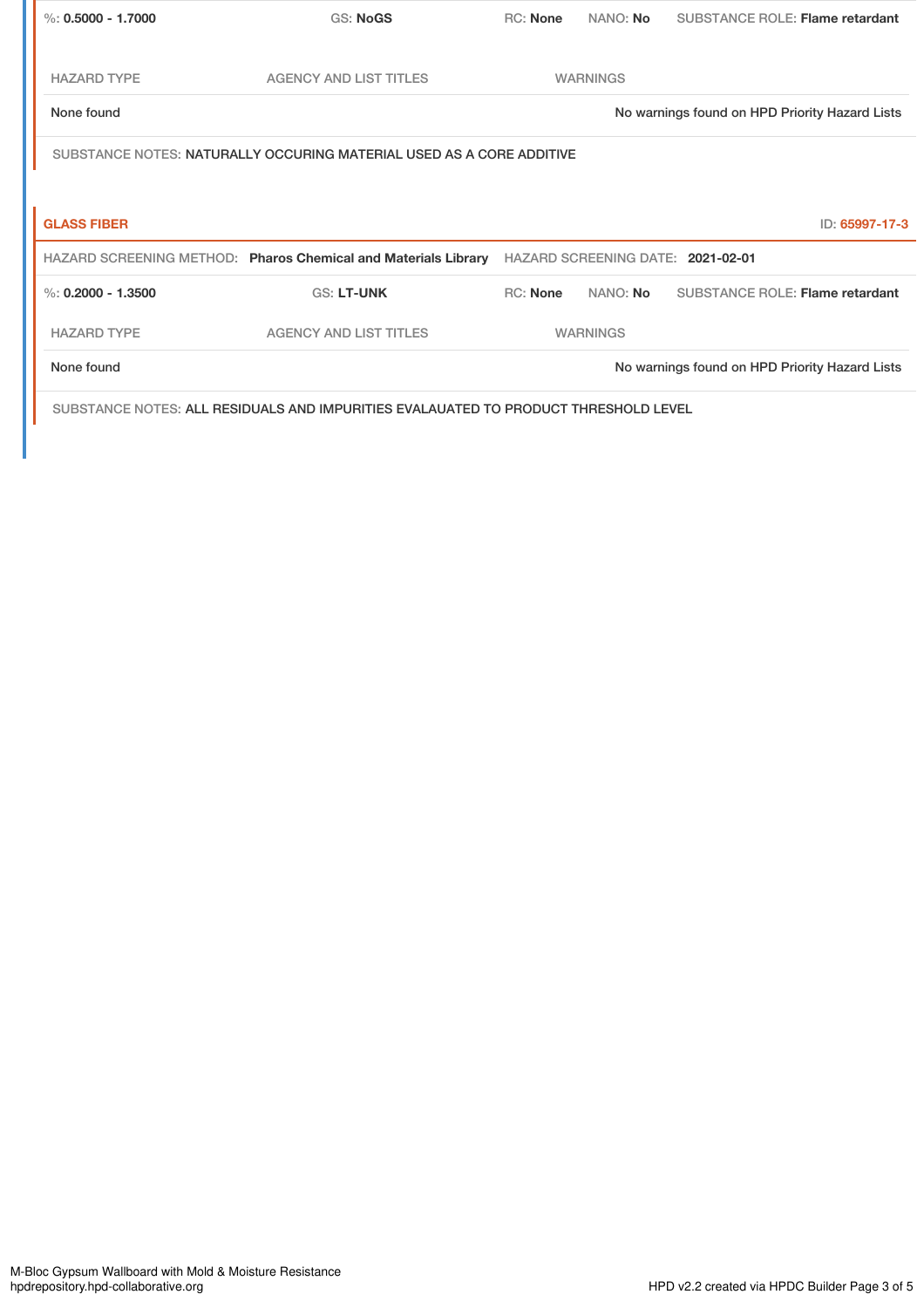| %: $0.5000 - 1.7000$ | <b>GS: NoGS</b>                                                                     | <b>RC: None</b> | NANO: No        | <b>SUBSTANCE ROLE: Flame retardant</b>         |
|----------------------|-------------------------------------------------------------------------------------|-----------------|-----------------|------------------------------------------------|
|                      |                                                                                     |                 |                 |                                                |
| <b>HAZARD TYPE</b>   | <b>AGENCY AND LIST TITLES</b>                                                       |                 | <b>WARNINGS</b> |                                                |
| None found           |                                                                                     |                 |                 | No warnings found on HPD Priority Hazard Lists |
|                      | SUBSTANCE NOTES: NATURALLY OCCURING MATERIAL USED AS A CORE ADDITIVE                |                 |                 |                                                |
|                      |                                                                                     |                 |                 |                                                |
| <b>GLASS FIBER</b>   |                                                                                     |                 |                 | ID: 65997-17-3                                 |
|                      | HAZARD SCREENING METHOD: Pharos Chemical and Materials Library                      |                 |                 | HAZARD SCREENING DATE: 2021-02-01              |
| %: $0.2000 - 1.3500$ | <b>GS: LT-UNK</b>                                                                   | RC: None        | NANO: No        | SUBSTANCE ROLE: Flame retardant                |
| <b>HAZARD TYPE</b>   | <b>AGENCY AND LIST TITLES</b>                                                       |                 | <b>WARNINGS</b> |                                                |
| None found           |                                                                                     |                 |                 | No warnings found on HPD Priority Hazard Lists |
|                      | SUBSTANCE NOTES: ALL RESIDUALS AND IMPURITIES EVALAUATED TO PRODUCT THRESHOLD LEVEL |                 |                 |                                                |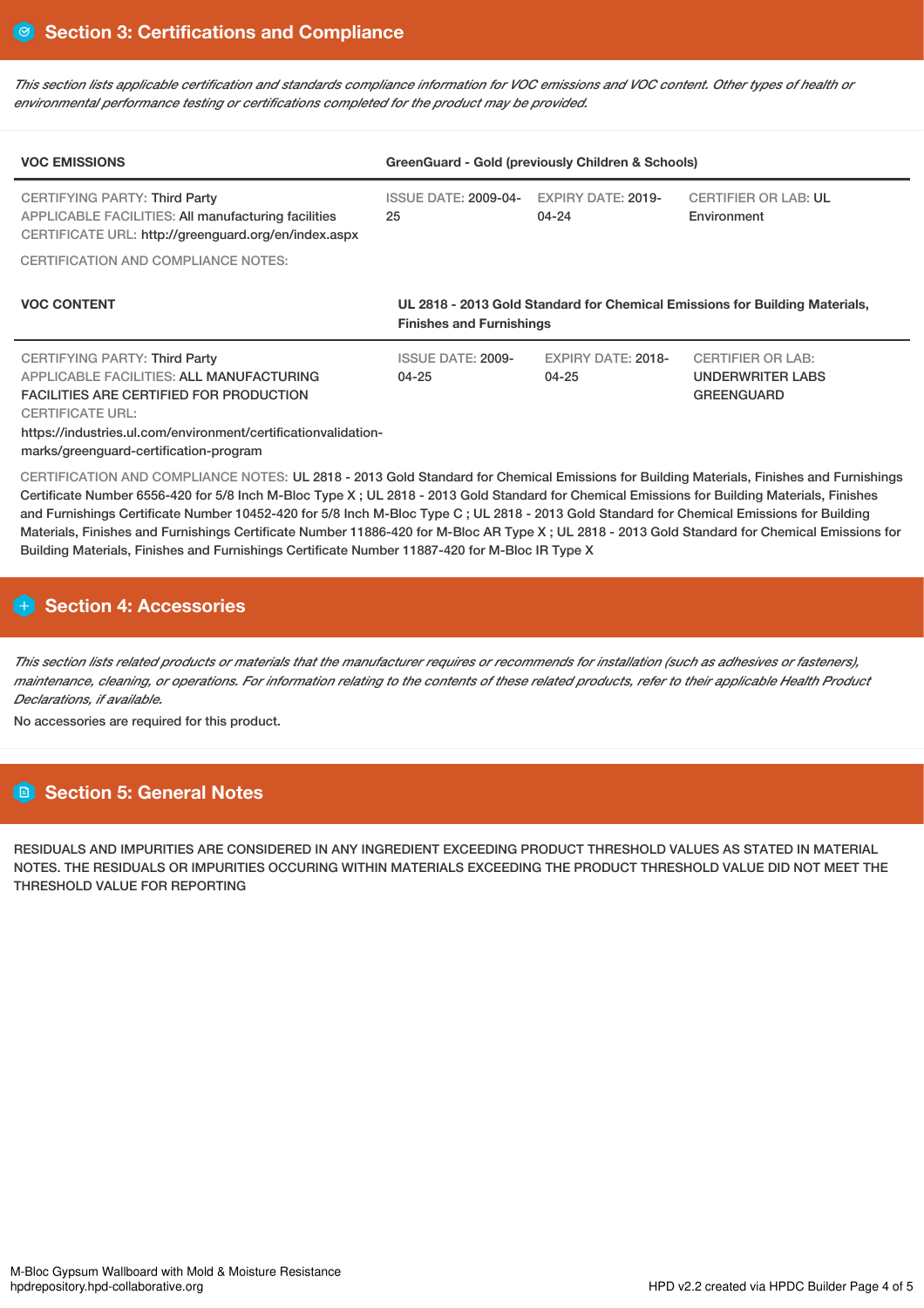This section lists applicable certification and standards compliance information for VOC emissions and VOC content. Other types of health or *environmental performance testing or certifications completed for the product may be provided.*

| <b>VOC EMISSIONS</b>                                                                                                                                                                                                                                                      | GreenGuard - Gold (previously Children & Schools)                                                              |                                        |                                                                   |  |  |
|---------------------------------------------------------------------------------------------------------------------------------------------------------------------------------------------------------------------------------------------------------------------------|----------------------------------------------------------------------------------------------------------------|----------------------------------------|-------------------------------------------------------------------|--|--|
| CERTIFYING PARTY: Third Party<br><b>APPLICABLE FACILITIES: All manufacturing facilities</b><br>CERTIFICATE URL: http://greenguard.org/en/index.aspx                                                                                                                       | <b>ISSUE DATE: 2009-04-</b><br>25                                                                              | <b>EXPIRY DATE: 2019-</b><br>$04 - 24$ | <b>CERTIFIER OR LAB: UL</b><br>Environment                        |  |  |
| <b>CERTIFICATION AND COMPLIANCE NOTES:</b>                                                                                                                                                                                                                                |                                                                                                                |                                        |                                                                   |  |  |
| <b>VOC CONTENT</b>                                                                                                                                                                                                                                                        | UL 2818 - 2013 Gold Standard for Chemical Emissions for Building Materials,<br><b>Finishes and Furnishings</b> |                                        |                                                                   |  |  |
| <b>CERTIFYING PARTY: Third Party</b><br>APPLICABLE FACILITIES: ALL MANUFACTURING<br><b>FACILITIES ARE CERTIFIED FOR PRODUCTION</b><br><b>CERTIFICATE URL:</b><br>https://industries.ul.com/environment/certificationvalidation-<br>marks/greenguard-certification-program | <b>ISSUE DATE: 2009-</b><br>$04 - 25$                                                                          | <b>EXPIRY DATE: 2018-</b><br>$04 - 25$ | <b>CERTIFIER OR LAB:</b><br>UNDERWRITER LABS<br><b>GREENGUARD</b> |  |  |

CERTIFICATION AND COMPLIANCE NOTES: UL 2818 - 2013 Gold Standard for Chemical Emissions for Building Materials, Finishes and Furnishings Certificate Number 6556-420 for 5/8 Inch M-Bloc Type X ; UL 2818 - 2013 Gold Standard for Chemical Emissions for Building Materials, Finishes and Furnishings Certificate Number 10452-420 for 5/8 Inch M-Bloc Type C ; UL 2818 - 2013 Gold Standard for Chemical Emissions for Building Materials, Finishes and Furnishings Certificate Number 11886-420 for M-Bloc AR Type X ; UL 2818 - 2013 Gold Standard for Chemical Emissions for Building Materials, Finishes and Furnishings Certificate Number 11887-420 for M-Bloc IR Type X

# **H** Section 4: Accessories

This section lists related products or materials that the manufacturer requires or recommends for installation (such as adhesives or fasteners), maintenance, cleaning, or operations. For information relating to the contents of these related products, refer to their applicable Health Product *Declarations, if available.*

No accessories are required for this product.

# **Section 5: General Notes**

RESIDUALS AND IMPURITIES ARE CONSIDERED IN ANY INGREDIENT EXCEEDING PRODUCT THRESHOLD VALUES AS STATED IN MATERIAL NOTES. THE RESIDUALS OR IMPURITIES OCCURING WITHIN MATERIALS EXCEEDING THE PRODUCT THRESHOLD VALUE DID NOT MEET THE THRESHOLD VALUE FOR REPORTING